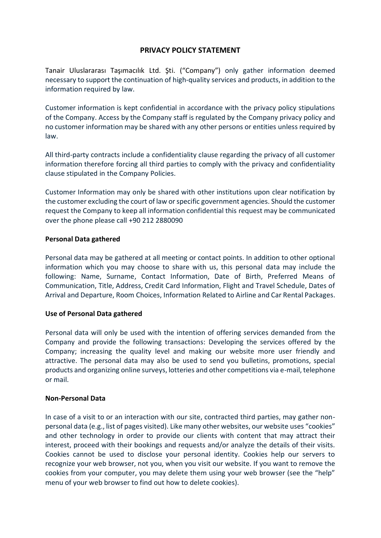# **PRIVACY POLICY STATEMENT**

Tanair Uluslararası Taşımacılık Ltd. Şti. ("Company") only gather information deemed necessary to support the continuation of high-quality services and products, in addition to the information required by law.

Customer information is kept confidential in accordance with the privacy policy stipulations of the Company. Access by the Company staff is regulated by the Company privacy policy and no customer information may be shared with any other persons or entities unless required by law.

All third-party contracts include a confidentiality clause regarding the privacy of all customer information therefore forcing all third parties to comply with the privacy and confidentiality clause stipulated in the Company Policies.

Customer Information may only be shared with other institutions upon clear notification by the customer excluding the court of law or specific government agencies. Should the customer request the Company to keep all information confidential this request may be communicated over the phone please call +90 212 2880090

### **Personal Data gathered**

Personal data may be gathered at all meeting or contact points. In addition to other optional information which you may choose to share with us, this personal data may include the following: Name, Surname, Contact Information, Date of Birth, Preferred Means of Communication, Title, Address, Credit Card Information, Flight and Travel Schedule, Dates of Arrival and Departure, Room Choices, Information Related to Airline and Car Rental Packages.

### **Use of Personal Data gathered**

Personal data will only be used with the intention of offering services demanded from the Company and provide the following transactions: Developing the services offered by the Company; increasing the quality level and making our website more user friendly and attractive. The personal data may also be used to send you bulletins, promotions, special products and organizing online surveys, lotteries and other competitions via e-mail, telephone or mail.

### **Non-Personal Data**

In case of a visit to or an interaction with our site, contracted third parties, may gather nonpersonal data (e.g., list of pages visited). Like many other websites, our website uses "cookies" and other technology in order to provide our clients with content that may attract their interest, proceed with their bookings and requests and/or analyze the details of their visits. Cookies cannot be used to disclose your personal identity. Cookies help our servers to recognize your web browser, not you, when you visit our website. If you want to remove the cookies from your computer, you may delete them using your web browser (see the "help" menu of your web browser to find out how to delete cookies).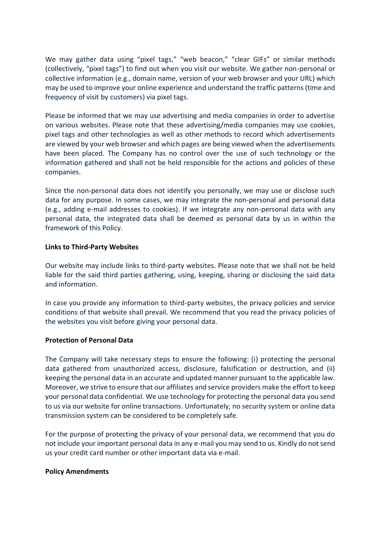We may gather data using "pixel tags," "web beacon," "clear GIFs" or similar methods (collectively, "pixel tags") to find out when you visit our website. We gather non-personal or collective information (e.g., domain name, version of your web browser and your URL) which may be used to improve your online experience and understand the traffic patterns (time and frequency of visit by customers) via pixel tags.

Please be informed that we may use advertising and media companies in order to advertise on various websites. Please note that these advertising/media companies may use cookies, pixel tags and other technologies as well as other methods to record which advertisements are viewed by your web browser and which pages are being viewed when the advertisements have been placed. The Company has no control over the use of such technology or the information gathered and shall not be held responsible for the actions and policies of these companies.

Since the non-personal data does not identify you personally, we may use or disclose such data for any purpose. In some cases, we may integrate the non-personal and personal data (e.g., adding e-mail addresses to cookies). If we integrate any non-personal data with any personal data, the integrated data shall be deemed as personal data by us in within the framework of this Policy.

### **Links to Third-Party Websites**

Our website may include links to third-party websites. Please note that we shall not be held liable for the said third parties gathering, using, keeping, sharing or disclosing the said data and information.

In case you provide any information to third-party websites, the privacy policies and service conditions of that website shall prevail. We recommend that you read the privacy policies of the websites you visit before giving your personal data.

### **Protection of Personal Data**

The Company will take necessary steps to ensure the following: (i) protecting the personal data gathered from unauthorized access, disclosure, falsification or destruction, and (ii) keeping the personal data in an accurate and updated manner pursuant to the applicable law. Moreover, we strive to ensure that our affiliates and service providers make the effort to keep your personal data confidential. We use technology for protecting the personal data you send to us via our website for online transactions. Unfortunately, no security system or online data transmission system can be considered to be completely safe.

For the purpose of protecting the privacy of your personal data, we recommend that you do not include your important personal data in any e-mail you may send to us. Kindly do not send us your credit card number or other important data via e-mail.

### **Policy Amendments**